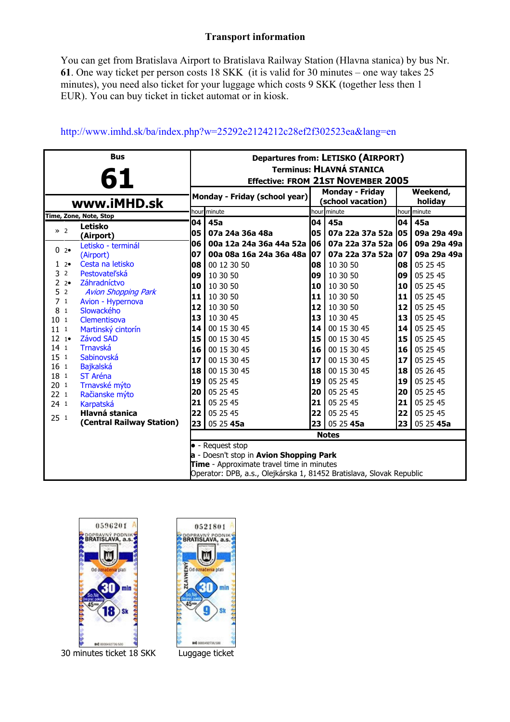## **Transport information**

You can get from Bratislava Airport to Bratislava Railway Station (Hlavna stanica) by bus Nr. **61**. One way ticket per person costs 18 SKK (it is valid for 30 minutes – one way takes 25 minutes), you need also ticket for your luggage which costs 9 SKK (together less then 1 EUR). You can buy ticket in ticket automat or in kiosk.

| <b>Bus</b>                                                           |                                 |                                                                              | Departures from: LETISKO (AIRPORT) |    |                                            |           |                     |  |
|----------------------------------------------------------------------|---------------------------------|------------------------------------------------------------------------------|------------------------------------|----|--------------------------------------------|-----------|---------------------|--|
| 61                                                                   |                                 | <b>Terminus: HLAVNÁ STANICA</b><br><b>Effective: FROM 21ST NOVEMBER 2005</b> |                                    |    |                                            |           |                     |  |
|                                                                      |                                 |                                                                              | Monday - Friday (school year)      |    | <b>Monday - Friday</b><br>school vacation) |           | Weekend,<br>holiday |  |
| www.iMHD.sk                                                          |                                 |                                                                              | hour minute                        |    | hour minute                                |           | hour minute         |  |
|                                                                      | Time, Zone, Note, Stop          | 04                                                                           | 45a                                | 04 | 45a                                        | 04        | 45a                 |  |
| $\gg 2$                                                              | Letisko<br>(Airport)            | 05                                                                           | 07a 24a 36a 48a                    | 05 | 07a 22a 37a 52a                            | 105       | 09a 29a 49a         |  |
|                                                                      | Letisko - terminál              | l06                                                                          | 00a 12a 24a 36a 44a 52a 06         |    | 07a 22a 37a 52a                            | 106       | 09a 29a 49a         |  |
| 02                                                                   | (Airport)                       | 07                                                                           | 00a 08a 16a 24a 36a 48a 07         |    | 07a 22a 37a 52a                            | 107       | 09a 29a 49a         |  |
| 12                                                                   | Cesta na letisko                | 08                                                                           | 00 12 30 50                        | 08 | 10 30 50                                   | 08        | 05 25 45            |  |
| 3<br>$\overline{2}$                                                  | Pestovateľská                   | 09                                                                           | 10 30 50                           | 09 | 10 30 50                                   | 09        | 05 25 45            |  |
| 22                                                                   | Záhradníctvo                    | 10                                                                           | 10 30 50                           | 10 | 10 30 50                                   | <b>10</b> | 05 25 45            |  |
| 52                                                                   | <b>Avion Shopping Park</b>      | 11                                                                           | 10 30 50                           | 11 | 10 30 50                                   | 11        | 05 25 45            |  |
| 7 <sub>1</sub><br>8 1                                                | Avion - Hypernova<br>Slowackého | 12                                                                           | 10 30 50                           | 12 | 10 30 50                                   | 12        | 05 25 45            |  |
| $10-1$                                                               | Clementisova                    | 13                                                                           | 10 30 45                           | 13 | 10 30 45                                   | 13        | 05 25 45            |  |
| 11 <sup>1</sup>                                                      | Martinský cintorín              | 14                                                                           | 00 15 30 45                        | 14 | 00 15 30 45                                | 14        | 05 25 45            |  |
| 12 1                                                                 | Závod SAD                       | 15                                                                           | 00 15 30 45                        | 15 | 00 15 30 45                                | 15        | 05 25 45            |  |
| $14-1$                                                               | <b>Trnavská</b>                 | <b>16</b>                                                                    | 00 15 30 45                        | 16 | 00 15 30 45                                | 16        | 05 25 45            |  |
| 15 <sub>1</sub>                                                      | Sabinovská                      | 17                                                                           | 00 15 30 45                        | 17 | 00 15 30 45                                | 17        | 05 25 45            |  |
| 16 <sub>1</sub><br>18 <sub>1</sub>                                   | <b>Bajkalská</b><br>ST Aréna    | 18                                                                           | 00 15 30 45                        | 18 | 00 15 30 45                                | 18        | 05 26 45            |  |
| 201                                                                  | Trnavské mýto                   | 19                                                                           | 05 25 45                           | 19 | 05 25 45                                   | 19        | 05 25 45            |  |
| 22 <sub>1</sub>                                                      | Račianske mýto                  | 20                                                                           | 05 25 45                           | 20 | 05 25 45                                   | 20        | 05 25 45            |  |
| 24 <sub>1</sub>                                                      | <b>Karpatská</b>                | 21                                                                           | 05 25 45                           | 21 | 05 25 45                                   | 21        | 05 25 45            |  |
| 251                                                                  | <b>Hlavná stanica</b>           | 22                                                                           | 05 25 45                           | 22 | 05 25 45                                   | 22        | 05 25 45            |  |
|                                                                      | (Central Railway Station)       | 23                                                                           | 05 25 45a                          | 23 | 05 25 45a                                  | 23        | 05 25 45a           |  |
|                                                                      |                                 | <b>Notes</b>                                                                 |                                    |    |                                            |           |                     |  |
| • - Request stop                                                     |                                 |                                                                              |                                    |    |                                            |           |                     |  |
| a - Doesn't stop in Avion Shopping Park                              |                                 |                                                                              |                                    |    |                                            |           |                     |  |
| Time - Approximate travel time in minutes                            |                                 |                                                                              |                                    |    |                                            |           |                     |  |
| Operator: DPB, a.s., Olejkárska 1, 81452 Bratislava, Slovak Republic |                                 |                                                                              |                                    |    |                                            |           |                     |  |

## http://www.imhd.sk/ba/index.php?w=25292e2124212c28ef2f302523ea&lang=en



0521801 DOPRAVNÝ PODNIK U. Od označenja otati min